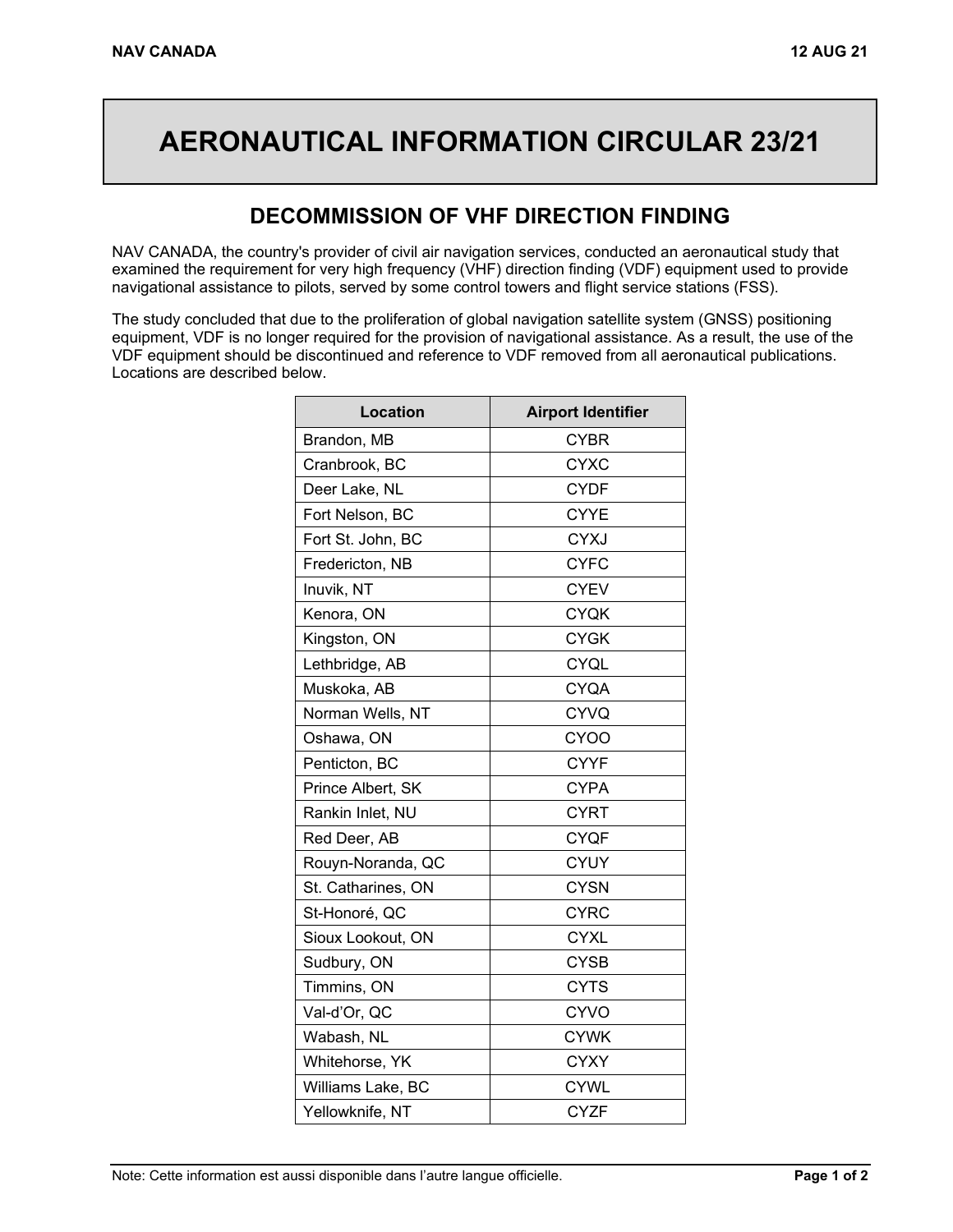## **AERONAUTICAL INFORMATION CIRCULAR 23/21**

## **DECOMMISSION OF VHF DIRECTION FINDING**

NAV CANADA, the country's provider of civil air navigation services, conducted an aeronautical study that examined the requirement for very high frequency (VHF) direction finding (VDF) equipment used to provide navigational assistance to pilots, served by some control towers and flight service stations (FSS).

The study concluded that due to the proliferation of global navigation satellite system (GNSS) positioning equipment, VDF is no longer required for the provision of navigational assistance. As a result, the use of the VDF equipment should be discontinued and reference to VDF removed from all aeronautical publications. Locations are described below.

| <b>Location</b>    | <b>Airport Identifier</b> |
|--------------------|---------------------------|
| Brandon, MB        | <b>CYBR</b>               |
| Cranbrook, BC      | <b>CYXC</b>               |
| Deer Lake, NL      | <b>CYDF</b>               |
| Fort Nelson, BC    | <b>CYYE</b>               |
| Fort St. John, BC  | <b>CYXJ</b>               |
| Fredericton, NB    | <b>CYFC</b>               |
| Inuvik, NT         | <b>CYEV</b>               |
| Kenora, ON         | <b>CYQK</b>               |
| Kingston, ON       | <b>CYGK</b>               |
| Lethbridge, AB     | <b>CYQL</b>               |
| Muskoka, AB        | <b>CYQA</b>               |
| Norman Wells, NT   | <b>CYVQ</b>               |
| Oshawa, ON         | <b>CYOO</b>               |
| Penticton, BC      | <b>CYYF</b>               |
| Prince Albert, SK  | <b>CYPA</b>               |
| Rankin Inlet, NU   | <b>CYRT</b>               |
| Red Deer, AB       | <b>CYQF</b>               |
| Rouyn-Noranda, QC  | <b>CYUY</b>               |
| St. Catharines, ON | <b>CYSN</b>               |
| St-Honoré, QC      | <b>CYRC</b>               |
| Sioux Lookout, ON  | <b>CYXL</b>               |
| Sudbury, ON        | <b>CYSB</b>               |
| Timmins, ON        | <b>CYTS</b>               |
| Val-d'Or, QC       | <b>CYVO</b>               |
| Wabash, NL         | <b>CYWK</b>               |
| Whitehorse, YK     | <b>CYXY</b>               |
| Williams Lake, BC  | <b>CYWL</b>               |
| Yellowknife, NT    | <b>CYZF</b>               |